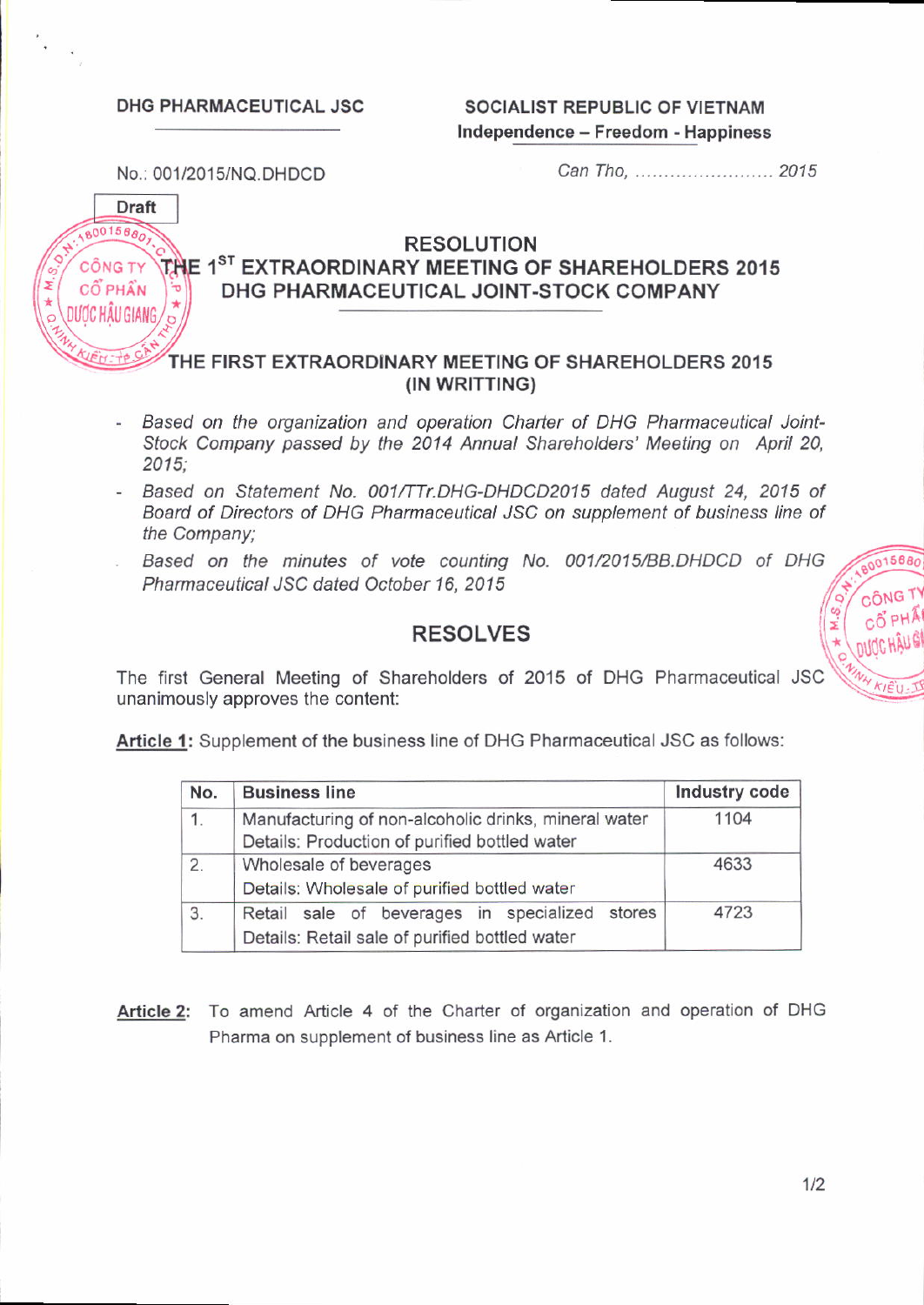DHG PHARMACEUTICAL JSC SOCIALIST REPUBLIC OF VIETNAM Independence - Freedom - Happiness

No.: 001/201s/NQ.DHDCD

Can Tho, ........................ 201 5

**Draft**  $8001568$ CÔNG TY CỐ PHẦN  $\sum_{i=1}^{n}$  DUOC HÂU GIANG  $\sqrt{\frac{2}{3}}$ 

# RESOLUTION THE 1<sup>ST</sup> EXTRAORDINARY MEETING OF SHAREHOLDERS 2015 DHG PHARMACEUTICAL JOINT-STOCK COMPANY

# : FIRST EXTRAORDINARY MEETING OF SHAREHOLDERS 2015 (IN WRITTING)

- Based on the organization and operation Charter of DHG Pharmaceutical Joint-Stock Company passed by the 2014 Annual Shareholders' Meeting on April 20, 2015;
- Based on Statement No. 001/TTr.DHG-DHDCD2015 dated August 24, 2015 of Board of Directors of DHG Pharmaceutical JSC on supplement of business line of the Company;
- Based on the minutes of vote counting No. 001/2015/BB.DHDCD of DHG Pharmaceutical JSC dated October 16, 2015  $\sqrt{\frac{9}{2}}$  công T

# RESOLVES

The first General Meeting of Shareholders of 2015 of DHG Pharmaceutical JSC  $\sqrt{\frac{m_{N}}{Kt}}$ unanimously approves the content:

Article 1: Supplement of the business line of DHG Pharmaceutical JSC as follows:

| No. | <b>Business line</b>                                                                                  | Industry code |
|-----|-------------------------------------------------------------------------------------------------------|---------------|
| 1.  | Manufacturing of non-alcoholic drinks, mineral water<br>Details: Production of purified bottled water | 1104          |
| 2.  | Wholesale of beverages<br>Details: Wholesale of purified bottled water                                | 4633          |
| 3.  | Retail sale of beverages in specialized stores<br>Details: Retail sale of purified bottled water      | 4723          |

Article 2: To amend Article 4 of the Charter of organization and operation of DHG Pharma on supplement of business line as Article 1.

ANG TY

 $m$ ldc HÄUG